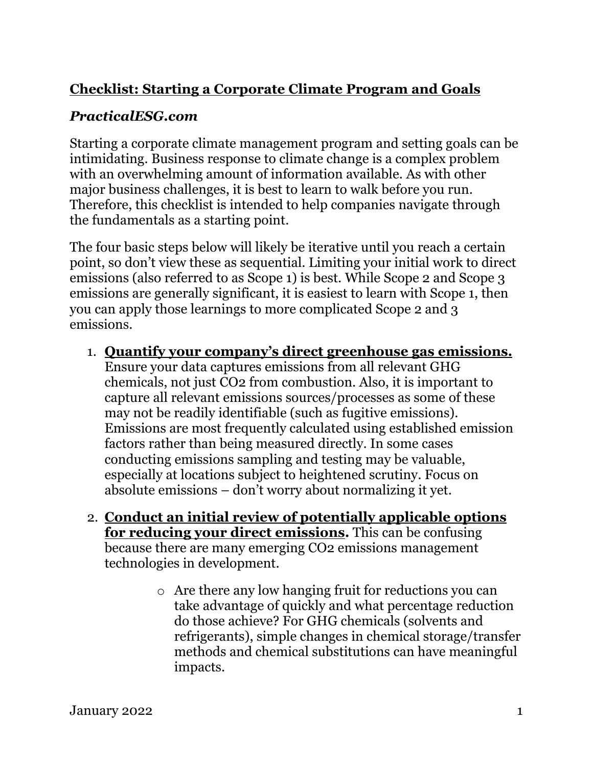## **Checklist: Starting a Corporate Climate Program and Goals**

## *PracticalESG.com*

Starting a corporate climate management program and setting goals can be intimidating. Business response to climate change is a complex problem with an overwhelming amount of information available. As with other major business challenges, it is best to learn to walk before you run. Therefore, this checklist is intended to help companies navigate through the fundamentals as a starting point.

The four basic steps below will likely be iterative until you reach a certain point, so don't view these as sequential. Limiting your initial work to direct emissions (also referred to as Scope 1) is best. While Scope 2 and Scope 3 emissions are generally significant, it is easiest to learn with Scope 1, then you can apply those learnings to more complicated Scope 2 and 3 emissions.

1. **Quantify your company's direct greenhouse gas emissions.**

Ensure your data captures emissions from all relevant GHG chemicals, not just CO2 from combustion. Also, it is important to capture all relevant emissions sources/processes as some of these may not be readily identifiable (such as fugitive emissions). Emissions are most frequently calculated using established emission factors rather than being measured directly. In some cases conducting emissions sampling and testing may be valuable, especially at locations subject to heightened scrutiny. Focus on absolute emissions – don't worry about normalizing it yet.

- 2. **Conduct an initial review of potentially applicable options for reducing your direct emissions.** This can be confusing because there are many emerging CO2 emissions management technologies in development.
	- o Are there any low hanging fruit for reductions you can take advantage of quickly and what percentage reduction do those achieve? For GHG chemicals (solvents and refrigerants), simple changes in chemical storage/transfer methods and chemical substitutions can have meaningful impacts.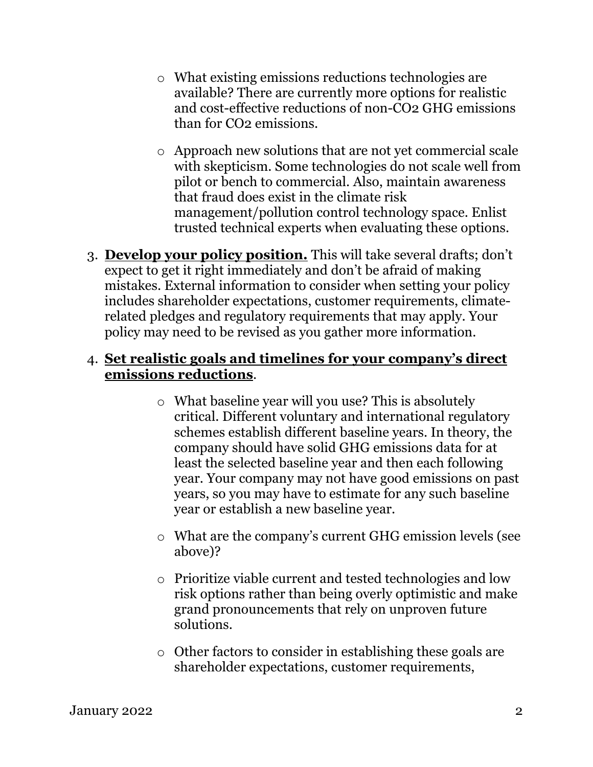- o What existing emissions reductions technologies are available? There are currently more options for realistic and cost-effective reductions of non-CO2 GHG emissions than for CO2 emissions.
- o Approach new solutions that are not yet commercial scale with skepticism. Some technologies do not scale well from pilot or bench to commercial. Also, maintain awareness that fraud does exist in the climate risk management/pollution control technology space. Enlist trusted technical experts when evaluating these options.
- 3. **Develop your policy position.** This will take several drafts; don't expect to get it right immediately and don't be afraid of making mistakes. External information to consider when setting your policy includes shareholder expectations, customer requirements, climaterelated pledges and regulatory requirements that may apply. Your policy may need to be revised as you gather more information.

## 4. **Set realistic goals and timelines for your company's direct emissions reductions**.

- o What baseline year will you use? This is absolutely critical. Different voluntary and international regulatory schemes establish different baseline years. In theory, the company should have solid GHG emissions data for at least the selected baseline year and then each following year. Your company may not have good emissions on past years, so you may have to estimate for any such baseline year or establish a new baseline year.
- o What are the company's current GHG emission levels (see above)?
- o Prioritize viable current and tested technologies and low risk options rather than being overly optimistic and make grand pronouncements that rely on unproven future solutions.
- o Other factors to consider in establishing these goals are shareholder expectations, customer requirements,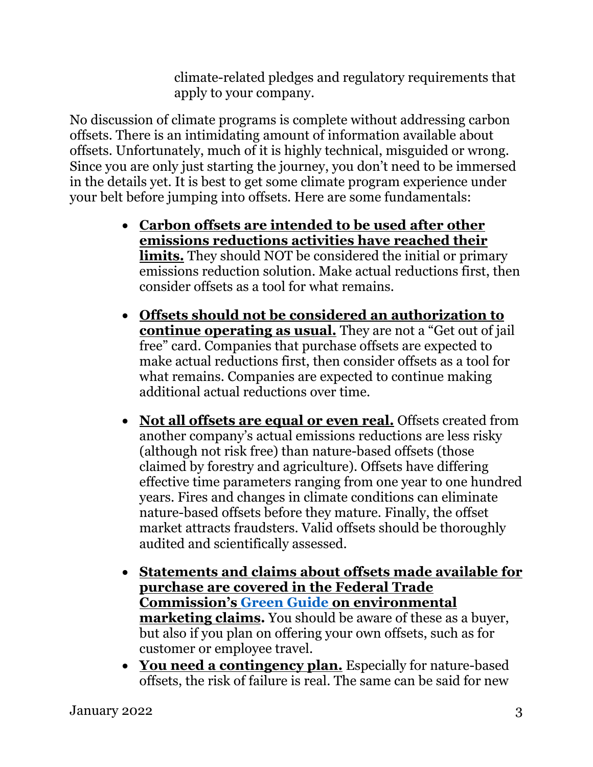climate-related pledges and regulatory requirements that apply to your company.

No discussion of climate programs is complete without addressing carbon offsets. There is an intimidating amount of information available about offsets. Unfortunately, much of it is highly technical, misguided or wrong. Since you are only just starting the journey, you don't need to be immersed in the details yet. It is best to get some climate program experience under your belt before jumping into offsets. Here are some fundamentals:

- **Carbon offsets are intended to be used after other emissions reductions activities have reached their limits.** They should NOT be considered the initial or primary emissions reduction solution. Make actual reductions first, then consider offsets as a tool for what remains.
- **Offsets should not be considered an authorization to continue operating as usual.** They are not a "Get out of jail free" card. Companies that purchase offsets are expected to make actual reductions first, then consider offsets as a tool for what remains. Companies are expected to continue making additional actual reductions over time.
- **Not all offsets are equal or even real.** Offsets created from another company's actual emissions reductions are less risky (although not risk free) than nature-based offsets (those claimed by forestry and agriculture). Offsets have differing effective time parameters ranging from one year to one hundred years. Fires and changes in climate conditions can eliminate nature-based offsets before they mature. Finally, the offset market attracts fraudsters. Valid offsets should be thoroughly audited and scientifically assessed.
- **Statements and claims about offsets made available for purchase are covered in the Federal Trade Commission's [Green Guide](https://www.ftc.gov/sites/default/files/attachments/press-releases/ftc-issues-revised-green-guides/greenguides.pdf) on environmental marketing claims.** You should be aware of these as a buyer, but also if you plan on offering your own offsets, such as for customer or employee travel.
- **You need a contingency plan.** Especially for nature-based offsets, the risk of failure is real. The same can be said for new